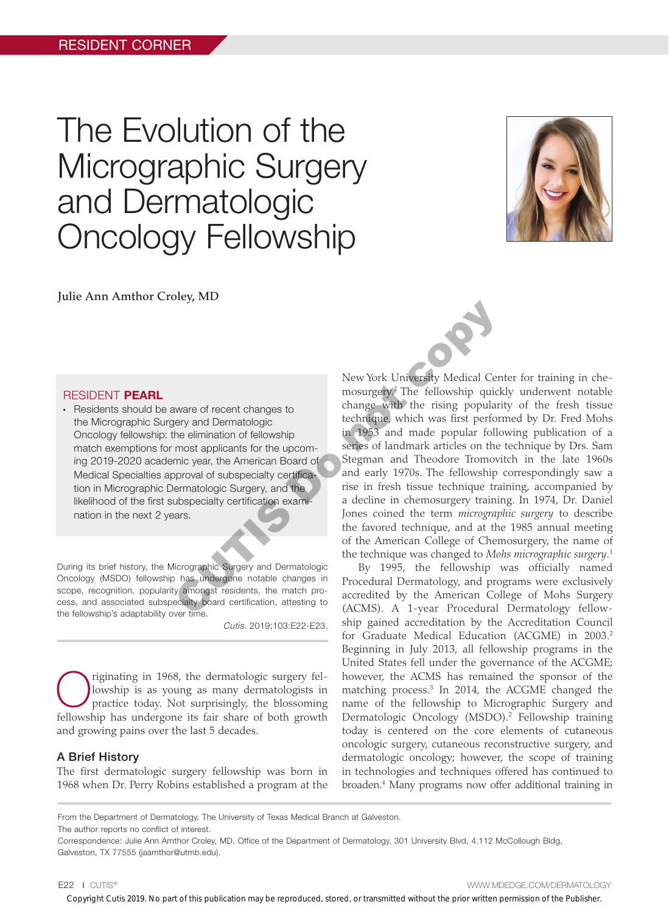# The Evolution of the Micrographic Surgery and Dermatologic Oncology Fellowship



Julie Ann Amthor Croley, MD

#### RESIDENT PEARL

• Residents should be aware of recent changes to the Micrographic Surgery and Dermatologic Oncology fellowship: the elimination of fellowship match exemptions for most applicants for the upcoming 2019-2020 academic year, the American Board of Medical Specialties approval of subspecialty certification in Micrographic Dermatologic Surgery, and the likelihood of the first subspecialty certification examination in the next 2 years.

During its brief history, the Micrographic Surgery and Dermatologic Oncology (MSDO) fellowship has undergone notable changes in scope, recognition, popularity amongst residents, the match process, and associated subspecialty board certification, attesting to the fellowship's adaptability over time.

*Cutis.* 2019;103:E22-E23.

Triginating in 1968, the dermatologic surgery fellowship is as young as many dermatologists in practice today. Not surprisingly, the blossoming lowship is as young as many dermatologists in practice today. Not surprisingly, the blossoming fellowship has undergone its fair share of both growth and growing pains over the last 5 decades.

# A Brief History

The first dermatologic surgery fellowship was born in 1968 when Dr. Perry Robins established a program at the

New York University Medical Center for training in chemosurgery.1 The fellowship quickly underwent notable change with the rising popularity of the fresh tissue technique, which was first performed by Dr. Fred Mohs in 1953 and made popular following publication of a series of landmark articles on the technique by Drs. Sam Stegman and Theodore Tromovitch in the late 1960s and early 1970s. The fellowship correspondingly saw a rise in fresh tissue technique training, accompanied by a decline in chemosurgery training. In 1974, Dr. Daniel Jones coined the term *micrographic surgery* to describe the favored technique, and at the 1985 annual meeting of the American College of Chemosurgery, the name of the technique was changed to *Mohs micrographic surgery*. 1 New York University Medical Cernation of ellowship quicklet and the rising poular expectation of fellowship in 1953 and made popular followship the elimination of fellowship in 1953 and made popular followship miniciparis

By 1995, the fellowship was officially named Procedural Dermatology, and programs were exclusively accredited by the American College of Mohs Surgery (ACMS). A 1-year Procedural Dermatology fellowship gained accreditation by the Accreditation Council for Graduate Medical Education (ACGME) in 2003.2 Beginning in July 2013, all fellowship programs in the United States fell under the governance of the ACGME; however, the ACMS has remained the sponsor of the matching process.3 In 2014, the ACGME changed the name of the fellowship to Micrographic Surgery and Dermatologic Oncology (MSDO).2 Fellowship training today is centered on the core elements of cutaneous oncologic surgery, cutaneous reconstructive surgery, and dermatologic oncology; however, the scope of training in technologies and techniques offered has continued to broaden.4 Many programs now offer additional training in

The author reports no conflict of interest.

Correspondence: Julie Ann Amthor Croley, MD, Office of the Department of Dermatology, 301 University Blvd, 4.112 McCollough Bldg, Galveston, TX 77555 (jaamthor@utmb.edu).

E22 I CUTIS® WWW.MDEDGE.COM/DERMATOLOGY

Copyright Cutis 2019. No part of this publication may be reproduced, stored, or transmitted without the prior written permission of the Publisher.

From the Department of Dermatology, The University of Texas Medical Branch at Galveston.